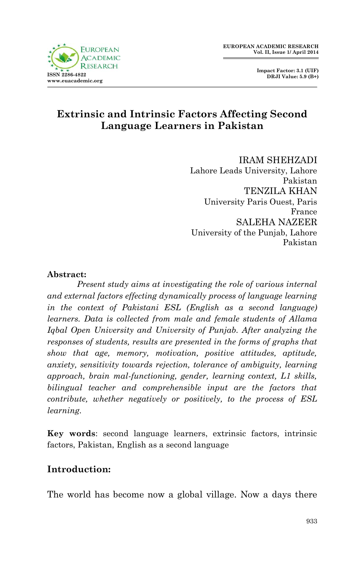



# **Extrinsic and Intrinsic Factors Affecting Second Language Learners in Pakistan**

IRAM SHEHZADI Lahore Leads University, Lahore Pakistan TENZILA KHAN University Paris Ouest, Paris France SALEHA NAZEER University of the Punjab, Lahore Pakistan

#### **Abstract:**

*Present study aims at investigating the role of various internal and external factors effecting dynamically process of language learning in the context of Pakistani ESL (English as a second language) learners. Data is collected from male and female students of Allama Igbal Open University and University of Punjab. After analyzing the responses of students, results are presented in the forms of graphs that show that age, memory, motivation, positive attitudes, aptitude, anxiety, sensitivity towards rejection, tolerance of ambiguity, learning approach, brain mal-functioning, gender, learning context, L1 skills, bilingual teacher and comprehensible input are the factors that contribute, whether negatively or positively, to the process of ESL learning.*

**Key words**: second language learners, extrinsic factors, intrinsic factors, Pakistan, English as a second language

### **Introduction:**

The world has become now a global village. Now a days there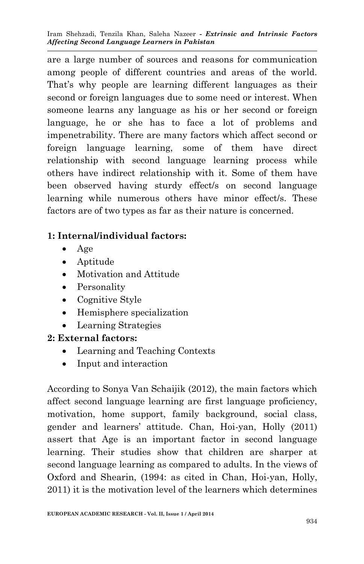Iram Shehzadi, Tenzila Khan, Saleha Nazeer *- Extrinsic and Intrinsic Factors Affecting Second Language Learners in Pakistan*

are a large number of sources and reasons for communication among people of different countries and areas of the world. That's why people are learning different languages as their second or foreign languages due to some need or interest. When someone learns any language as his or her second or foreign language, he or she has to face a lot of problems and impenetrability. There are many factors which affect second or foreign language learning, some of them have direct relationship with second language learning process while others have indirect relationship with it. Some of them have been observed having sturdy effect/s on second language learning while numerous others have minor effect/s. These factors are of two types as far as their nature is concerned.

## **1: Internal/individual factors:**

- $\bullet$  Age
- Aptitude
- Motivation and Attitude
- Personality
- Cognitive Style
- Hemisphere specialization
- Learning Strategies

## **2: External factors:**

- Learning and Teaching Contexts
- Input and interaction

According to Sonya Van Schaijik (2012), the main factors which affect second language learning are first language proficiency, motivation, home support, family background, social class, gender and learners' attitude. Chan, Hoi-yan, Holly (2011) assert that Age is an important factor in second language learning. Their studies show that children are sharper at second language learning as compared to adults. In the views of Oxford and Shearin, (1994: as cited in Chan, Hoi-yan, Holly, 2011) it is the motivation level of the learners which determines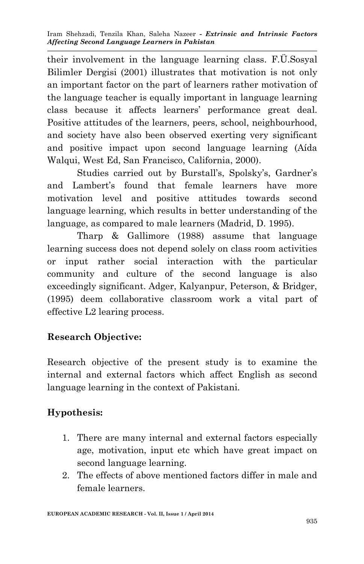their involvement in the language learning class. F.Ü.Sosyal Bilimler Dergisi (2001) illustrates that motivation is not only an important factor on the part of learners rather motivation of the language teacher is equally important in language learning class because it affects learners' performance great deal. Positive attitudes of the learners, peers, school, neighbourhood, and society have also been observed exerting very significant and positive impact upon second language learning (Aída Walqui, West Ed, San Francisco, California, 2000).

Studies carried out by Burstall's, Spolsky's, Gardner's and Lambert's found that female learners have more motivation level and positive attitudes towards second language learning, which results in better understanding of the language, as compared to male learners (Madrid, D. 1995).

Tharp & Gallimore (1988) assume that language learning success does not depend solely on class room activities or input rather social interaction with the particular community and culture of the second language is also exceedingly significant. Adger, Kalyanpur, Peterson, & Bridger, (1995) deem collaborative classroom work a vital part of effective L2 learing process.

# **Research Objective:**

Research objective of the present study is to examine the internal and external factors which affect English as second language learning in the context of Pakistani.

# **Hypothesis:**

- 1. There are many internal and external factors especially age, motivation, input etc which have great impact on second language learning.
- 2. The effects of above mentioned factors differ in male and female learners.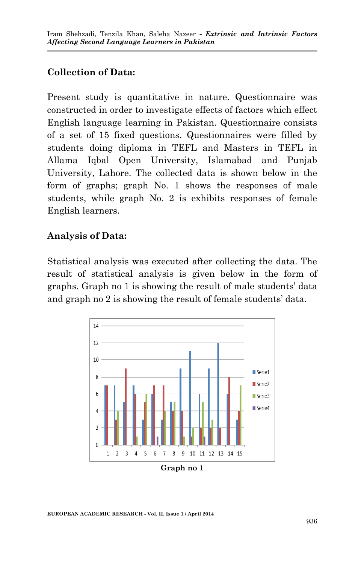# **Collection of Data:**

Present study is quantitative in nature. Questionnaire was constructed in order to investigate effects of factors which effect English language learning in Pakistan. Questionnaire consists of a set of 15 fixed questions. Questionnaires were filled by students doing diploma in TEFL and Masters in TEFL in Allama Iqbal Open University, Islamabad and Punjab University, Lahore. The collected data is shown below in the form of graphs; graph No. 1 shows the responses of male students, while graph No. 2 is exhibits responses of female English learners.

## **Analysis of Data:**

Statistical analysis was executed after collecting the data. The result of statistical analysis is given below in the form of graphs. Graph no 1 is showing the result of male students' data and graph no 2 is showing the result of female students' data.

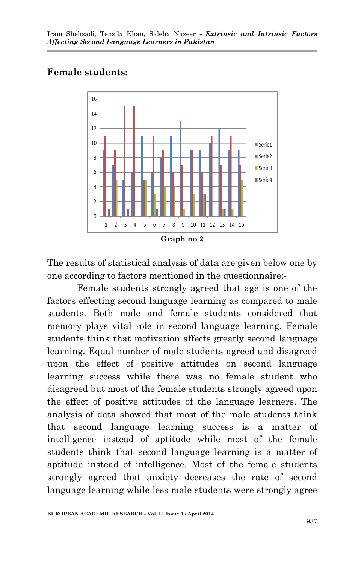### **Female students:**



The results of statistical analysis of data are given below one by one according to factors mentioned in the questionnaire:-

Female students strongly agreed that age is one of the factors effecting second language learning as compared to male students. Both male and female students considered that memory plays vital role in second language learning. Female students think that motivation affects greatly second language learning. Equal number of male students agreed and disagreed upon the effect of positive attitudes on second language learning success while there was no female student who disagreed but most of the female students strongly agreed upon the effect of positive attitudes of the language learners. The analysis of data showed that most of the male students think that second language learning success is a matter of intelligence instead of aptitude while most of the female students think that second language learning is a matter of aptitude instead of intelligence. Most of the female students strongly agreed that anxiety decreases the rate of second language learning while less male students were strongly agree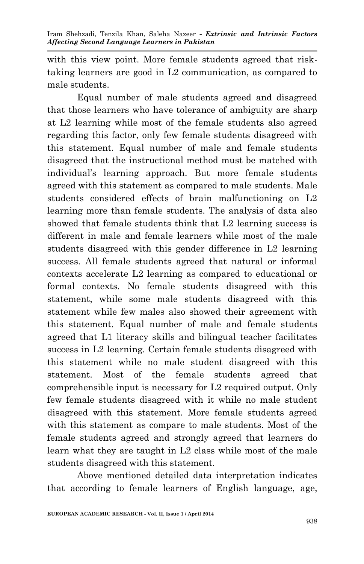with this view point. More female students agreed that risktaking learners are good in L2 communication, as compared to male students.

Equal number of male students agreed and disagreed that those learners who have tolerance of ambiguity are sharp at L2 learning while most of the female students also agreed regarding this factor, only few female students disagreed with this statement. Equal number of male and female students disagreed that the instructional method must be matched with individual's learning approach. But more female students agreed with this statement as compared to male students. Male students considered effects of brain malfunctioning on L2 learning more than female students. The analysis of data also showed that female students think that L2 learning success is different in male and female learners while most of the male students disagreed with this gender difference in L2 learning success. All female students agreed that natural or informal contexts accelerate L2 learning as compared to educational or formal contexts. No female students disagreed with this statement, while some male students disagreed with this statement while few males also showed their agreement with this statement. Equal number of male and female students agreed that L1 literacy skills and bilingual teacher facilitates success in L2 learning. Certain female students disagreed with this statement while no male student disagreed with this statement. Most of the female students agreed that comprehensible input is necessary for L2 required output. Only few female students disagreed with it while no male student disagreed with this statement. More female students agreed with this statement as compare to male students. Most of the female students agreed and strongly agreed that learners do learn what they are taught in L2 class while most of the male students disagreed with this statement.

Above mentioned detailed data interpretation indicates that according to female learners of English language, age,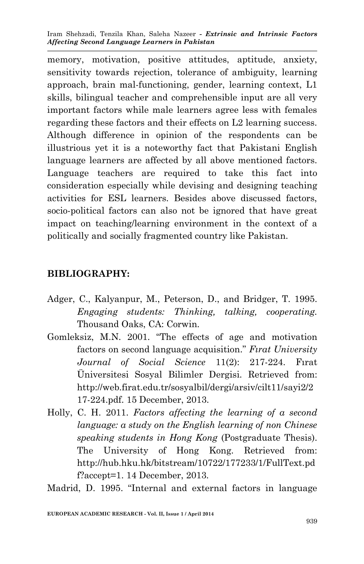Iram Shehzadi, Tenzila Khan, Saleha Nazeer *- Extrinsic and Intrinsic Factors Affecting Second Language Learners in Pakistan*

memory, motivation, positive attitudes, aptitude, anxiety, sensitivity towards rejection, tolerance of ambiguity, learning approach, brain mal-functioning, gender, learning context, L1 skills, bilingual teacher and comprehensible input are all very important factors while male learners agree less with females regarding these factors and their effects on L2 learning success. Although difference in opinion of the respondents can be illustrious yet it is a noteworthy fact that Pakistani English language learners are affected by all above mentioned factors. Language teachers are required to take this fact into consideration especially while devising and designing teaching activities for ESL learners. Besides above discussed factors, socio-political factors can also not be ignored that have great impact on teaching/learning environment in the context of a politically and socially fragmented country like Pakistan.

### **BIBLIOGRAPHY:**

- Adger, C., Kalyanpur, M., Peterson, D., and Bridger, T. 1995. *Engaging students: Thinking, talking, cooperating.* Thousand Oaks, CA: Corwin.
- Gomleksiz, M.N. 2001. "The effects of age and motivation factors on second language acquisition." *Fırat University Journal of Social Science* 11(2): 217-224. Fırat Üniversitesi Sosyal Bilimler Dergisi. Retrieved from: http://web.firat.edu.tr/sosyalbil/dergi/arsiv/cilt11/sayi2/2 17-224.pdf. 15 December, 2013.
- Holly, C. H. 2011. *Factors affecting the learning of a second language: a study on the English learning of non Chinese speaking students in Hong Kong* (Postgraduate Thesis). The University of Hong Kong. Retrieved from: http://hub.hku.hk/bitstream/10722/177233/1/FullText.pd f?accept=1. 14 December, 2013.

Madrid, D. 1995. "Internal and external factors in language